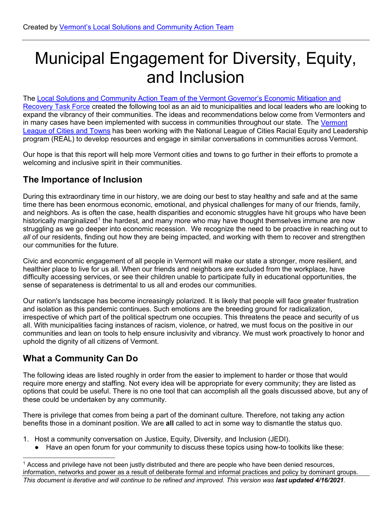# Municipal Engagement for Diversity, Equity, and Inclusion

The Local Solutions and Community Action Team of the Vermont Governor's Economic Mitigation and [Recovery Task Force](https://accd.vermont.gov/covid-19/economic-mitigation-and-recovery-task-force) created the following tool as an aid to municipalities and local leaders who are looking to expand the vibrancy of their communities. The ideas and recommendations below come from Vermonters and in many cases have been implemented with success in communities throughout our state. The Vermont [League of Cities and Towns](https://www.vlct.org/) has been working with the National League of Cities Racial Equity and Leadership program (REAL) to develop resources and engage in similar conversations in communities across Vermont.

Our hope is that this report will help more Vermont cities and towns to go further in their efforts to promote a welcoming and inclusive spirit in their communities.

## **The Importance of Inclusion**

During this extraordinary time in our history, we are doing our best to stay healthy and safe and at the same time there has been enormous economic, emotional, and physical challenges for many of our friends, family, and neighbors. As is often the case, health disparities and economic struggles have hit groups who have been historically marginalized<sup>[1](#page-0-0)</sup> the hardest, and many more who may have thought themselves immune are now struggling as we go deeper into economic recession. We recognize the need to be proactive in reaching out to *all* of our residents, finding out how they are being impacted, and working with them to recover and strengthen our communities for the future.

Civic and economic engagement of all people in Vermont will make our state a stronger, more resilient, and healthier place to live for us all. When our friends and neighbors are excluded from the workplace, have difficulty accessing services, or see their children unable to participate fully in educational opportunities, the sense of separateness is detrimental to us all and erodes our communities.

Our nation's landscape has become increasingly polarized. It is likely that people will face greater frustration and isolation as this pandemic continues. Such emotions are the breeding ground for radicalization, irrespective of which part of the political spectrum one occupies. This threatens the peace and security of us all. With municipalities facing instances of racism, violence, or hatred, we must focus on the positive in our communities and lean on tools to help ensure inclusivity and vibrancy. We must work proactively to honor and uphold the dignity of all citizens of Vermont.

# **What a Community Can Do**

The following ideas are listed roughly in order from the easier to implement to harder or those that would require more energy and staffing. Not every idea will be appropriate for every community; they are listed as options that could be useful. There is no one tool that can accomplish all the goals discussed above, but any of these could be undertaken by any community.

There is privilege that comes from being a part of the dominant culture. Therefore, not taking any action benefits those in a dominant position. We are **all** called to act in some way to dismantle the status quo.

- 1. Host a community conversation on Justice, Equity, Diversity, and Inclusion (JEDI).
	- Have an open forum for your community to discuss these topics using how-to toolkits like these:

<span id="page-0-0"></span> $1$  Access and privilege have not been justly distributed and there are people who have been denied resources, information, networks and power as a result of deliberate formal and informal practices and policy by dominant groups.

```
This document is iterative and will continue to be refined and improved. This version was last updated 4/16/2021.
```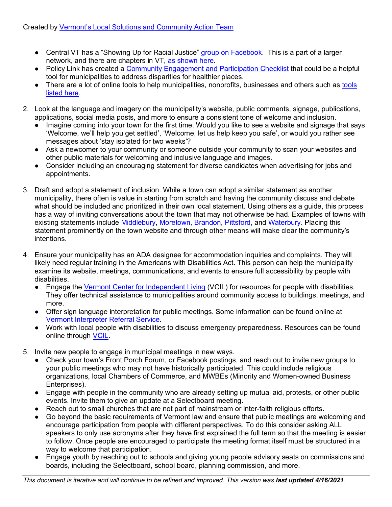- Central VT has a "Showing Up for Racial Justice" [group on Facebook.](https://www.facebook.com/CVtSURJ) This is a part of a larger network, and there are chapters in VT, [as shown here.](https://www.showingupforracialjustice.org/?fbclid=IwAR37wbxvuXV5kBmgO3jvAwdtalO6Q-PzgGfeB655Q3JB-cO5m0bahRZYj8k)
- Policy Link has created a [Community Engagement and Participation Checklist](https://www.policylink.org/sites/default/files/COMMUNITY%20ENGAGEMENT%20CHECKLIST.pdf) that could be a helpful tool for municipalities to address disparities for healthier places.
- There are a lot of online [tools](https://www.racialequitytools.org/act/strategies/organizational-change-processes) to help municipalities, nonprofits, businesses and others such as tools [listed here.](https://www.racialequitytools.org/act/strategies/organizational-change-processes)
- 2. Look at the language and imagery on the municipality's website, public comments, signage, publications, applications, social media posts, and more to ensure a consistent tone of welcome and inclusion.
	- Imagine coming into your town for the first time. Would you like to see a website and signage that says 'Welcome, we'll help you get settled', 'Welcome, let us help keep you safe', or would you rather see messages about 'stay isolated for two weeks'?
	- Ask a newcomer to your community or someone outside your community to scan your websites and other public materials for welcoming and inclusive language and images.
	- Consider including an encouraging statement for diverse candidates when advertising for iobs and appointments.
- 3. Draft and adopt a statement of inclusion. While a town can adopt a similar statement as another municipality, there often is value in starting from scratch and having the community discuss and debate what should be included and prioritized in their own local statement. Using others as a guide, this process has a way of inviting conversations about the town that may not otherwise be had. Examples of towns with existing statements include [Middlebury,](http://www.townofmiddlebury.org/newsdetail_T2_R310.php) [Moretown,](https://www.moretownvt.org/) [Brandon,](https://www.townofbrandon.com/policiesordinancesproceduresresolutions/) [Pittsford,](https://www.vlct.org/news/pittsford%E2%80%99s-declaration-inclusion) and [Waterbury.](https://www.waterburyvt.com/) Placing this statement prominently on the town website and through other means will make clear the community's intentions.
- 4. Ensure your municipality has an ADA designee for accommodation inquiries and complaints. They will likely need regular training in the Americans with Disabilities Act. This person can help the municipality examine its website, meetings, communications, and events to ensure full accessibility by people with disabilities.
	- Engage the [Vermont Center for Independent Living](https://vcil.org/services/community-access-program/) (VCIL) for resources for people with disabilities. They offer technical assistance to municipalities around community access to buildings, meetings, and more.
	- Offer sign language interpretation for public meetings. Some information can be found online at [Vermont Interpreter Referral Service.](http://www.vancroiis.com/)
	- Work with local people with disabilities to discuss emergency preparedness. Resources can be found online through [VCIL.](http://www.vcil.org/resources/emergency-preparedness)
- 5. Invite new people to engage in municipal meetings in new ways.
	- Check your town's Front Porch Forum, or Facebook postings, and reach out to invite new groups to your public meetings who may not have historically participated. This could include religious organizations, local Chambers of Commerce, and MWBEs (Minority and Women-owned Business Enterprises).
	- Engage with people in the community who are already setting up mutual aid, protests, or other public events. Invite them to give an update at a Selectboard meeting.
	- Reach out to small churches that are not part of mainstream or inter-faith religious efforts.
	- Go beyond the basic requirements of Vermont law and ensure that public meetings are welcoming and encourage participation from people with different perspectives. To do this consider asking ALL speakers to only use acronyms after they have first explained the full term so that the meeting is easier to follow. Once people are encouraged to participate the meeting format itself must be structured in a way to welcome that participation.
	- Engage youth by reaching out to schools and giving young people advisory seats on commissions and boards, including the Selectboard, school board, planning commission, and more.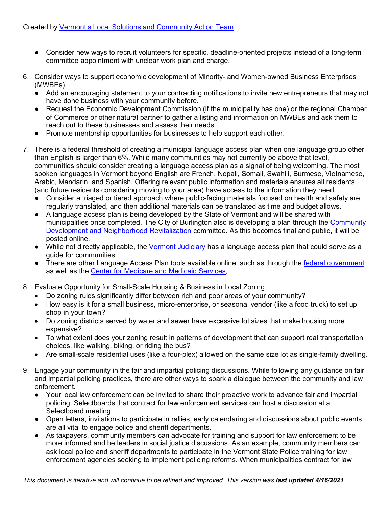- Consider new ways to recruit volunteers for specific, deadline-oriented projects instead of a long-term committee appointment with unclear work plan and charge.
- 6. Consider ways to support economic development of Minority- and Women-owned Business Enterprises (MWBEs).
	- Add an encouraging statement to your contracting notifications to invite new entrepreneurs that may not have done business with your community before.
	- Request the Economic Development Commission (if the municipality has one) or the regional Chamber of Commerce or other natural partner to gather a listing and information on MWBEs and ask them to reach out to these businesses and assess their needs.
	- Promote mentorship opportunities for businesses to help support each other.
- 7. There is a federal threshold of creating a municipal language access plan when one language group other than English is larger than 6%. While many communities may not currently be above that level, communities should consider creating a language access plan as a signal of being welcoming. The most spoken languages in Vermont beyond English are French, Nepali, Somali, Swahili, Burmese, Vietnamese, Arabic, Mandarin, and Spanish. Offering relevant public information and materials ensures all residents (and future residents considering moving to your area) have access to the information they need.
	- Consider a triaged or tiered approach where public-facing materials focused on health and safety are regularly translated, and then additional materials can be translated as time and budget allows.
	- A language access plan is being developed by the State of Vermont and will be shared with municipalities once completed. The City of Burlington also is developing a plan through the [Community](https://www.burlingtonvt.gov/CityCouncil/CEDONeighborhoodRevitalizationCommittee)  [Development and Neighborhood Revitalization](https://www.burlingtonvt.gov/CityCouncil/CEDONeighborhoodRevitalizationCommittee) committee. As this becomes final and public, it will be posted online.
	- While not directly applicable, the [Vermont Judiciary](https://www.vermontjudiciary.org/sites/default/files/documents/2017-01-03_-_Language_Access_Plan.pdf) has a language access plan that could serve as a guide for communities.
	- There are other Language Access Plan tools available online, such as through the [federal government](https://www.lep.gov/language-access-planning) as well as the [Center for Medicare and Medicaid Services,](https://www.cms.gov/About-CMS/Agency-Information/OMH/Downloads/Language-Access-Plan.pdf)
- 8. Evaluate Opportunity for Small-Scale Housing & Business in Local Zoning
	- Do zoning rules significantly differ between rich and poor areas of your community?
	- How easy is it for a small business, micro-enterprise, or seasonal vendor (like a food truck) to set up shop in your town?
	- Do zoning districts served by water and sewer have excessive lot sizes that make housing more expensive?
	- To what extent does your zoning result in patterns of development that can support real transportation choices, like walking, biking, or riding the bus?
	- Are small-scale residential uses (like a four-plex) allowed on the same size lot as single-family dwelling.
- 9. Engage your community in the fair and impartial policing discussions. While following any guidance on fair and impartial policing practices, there are other ways to spark a dialogue between the community and law enforcement.
	- Your local law enforcement can be invited to share their proactive work to advance fair and impartial policing. Selectboards that contract for law enforcement services can host a discussion at a Selectboard meeting.
	- Open letters, invitations to participate in rallies, early calendaring and discussions about public events are all vital to engage police and sheriff departments.
	- As taxpayers, community members can advocate for training and support for law enforcement to be more informed and be leaders in social justice discussions. As an example, community members can ask local police and sheriff departments to participate in the Vermont State Police training for law enforcement agencies seeking to implement policing reforms. When municipalities contract for law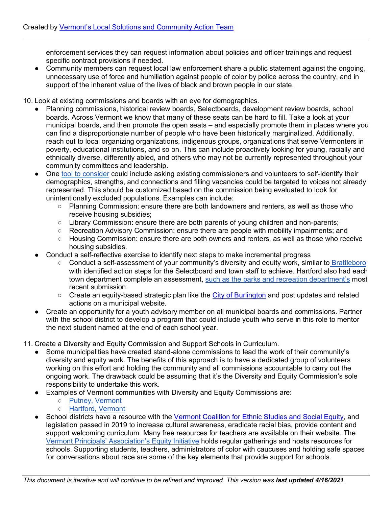enforcement services they can request information about policies and officer trainings and request specific contract provisions if needed.

● Community members can request local law enforcement share a public statement against the ongoing, unnecessary use of force and humiliation against people of color by police across the country, and in support of the inherent value of the lives of black and brown people in our state.

10. Look at existing commissions and boards with an eye for demographics.

- Planning commissions, historical review boards, Selectboards, development review boards, school boards. Across Vermont we know that many of these seats can be hard to fill. Take a look at your municipal boards, and then promote the open seats – and especially promote them in places where you can find a disproportionate number of people who have been historically marginalized. Additionally, reach out to local organizing organizations, indigenous groups, organizations that serve Vermonters in poverty, educational institutions, and so on. This can include proactively looking for young, racially and ethnically diverse, differently abled, and others who may not be currently represented throughout your community committees and leadership.
- One [tool to consider](https://urldefense.proofpoint.com/v2/url?u=https-3A__www.vtrural.org_sites_default_files_content_documents_MuniDemographics.pdf&d=DwMFaQ&c=euGZstcaTDllvimEN8b7jXrwqOf-v5A_CdpgnVfiiMM&r=bn139wHVzdVTYecqiCGdR6ke-6W2n8UG9e7GafFkEF8&m=_KE9IfWElzqnTFJGIdRY56cdcgnjiQZ3oCGpb2Gjoa0&s=XGo-hpPfGQowOjZapyhAYWrUZ6p9u27EgNV6eCMW8jM&e=) could include asking existing commissioners and volunteers to self-identify their demographics, strengths, and connections and filling vacancies could be targeted to voices not already represented. This should be customized based on the commission being evaluated to look for unintentionally excluded populations. Examples can include:
	- Planning Commission: ensure there are both landowners and renters, as well as those who receive housing subsidies;
	- Library Commission: ensure there are both parents of young children and non-parents;
	- Recreation Advisory Commission: ensure there are people with mobility impairments; and
	- Housing Commission: ensure there are both owners and renters, as well as those who receive housing subsidies.
- Conduct a self-reflective exercise to identify next steps to make incremental progress
	- Conduct a self-assessment of your community's diversity and equity work, similar to Brattleboro with identified action steps for the Selectboard and town staff to achieve. Hartford also had each town department complete an assessment, such as [the parks and recreation department's](https://www.hartford-vt.org/DocumentCenter/View/2713/413-EquityAuditFinal20-Parks-Recreation?bidId=) most recent submission.
	- Create an equity-based strategic plan like the [City of Burlington](https://www.burlingtonvt.gov/CEDO/Equity-Programming) and post updates and related actions on a municipal website.
- Create an opportunity for a youth advisory member on all municipal boards and commissions. Partner with the school district to develop a program that could include youth who serve in this role to mentor the next student named at the end of each school year.

11. Create a Diversity and Equity Commission and Support Schools in Curriculum.

- Some municipalities have created stand-alone commissions to lead the work of their community's diversity and equity work. The benefits of this approach is to have a dedicated group of volunteers working on this effort and holding the community and all commissions accountable to carry out the ongoing work. The drawback could be assuming that it's the Diversity and Equity Commission's sole responsibility to undertake this work.
- Examples of Vermont communities with Diversity and Equity Commissions are:
	- [Putney, Vermont](https://www.reformer.com/stories/putney-board-oks-equity-and-inclusion-committee,583997)
	- [Hartford, Vermont](https://www.hartford-vt.org/agendacenter/hartford-committee-on-racial-equity--inclusion-31/?#06172020-1577)
- School districts have a resource with the [Vermont Coalition for Ethnic Studies and Social Equity,](https://education.vermont.gov/state-board-councils/ethnic-and-social-equity-standards-advisory-working-group) and legislation passed in 2019 to increase cultural awareness, eradicate racial bias, provide content and support welcoming curriculum. Many free resources for teachers are available on their website. The [Vermont Principals' Association's Equity Initiative](https://vpaonline.org/leaders/vpa-equity-initiative/) holds regular gatherings and hosts resources for schools. Supporting students, teachers, administrators of color with caucuses and holding safe spaces for conversations about race are some of the key elements that provide support for schools.